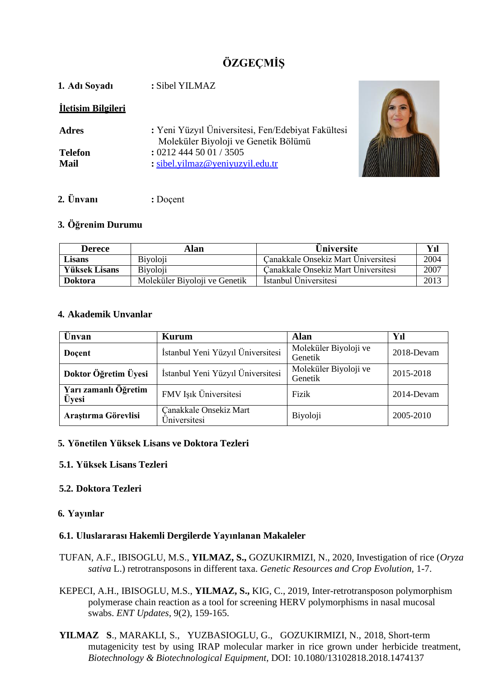# **ÖZGEÇMİŞ**

| : Yeni Yüzyıl Üniversitesi, Fen/Edebiyat Fakültesi<br>Moleküler Biyoloji ve Genetik Bölümü |
|--------------------------------------------------------------------------------------------|
|                                                                                            |
|                                                                                            |



### **2. Ünvanı :** Doçent

#### **3. Öğrenim Durumu**

| <b>Derece</b>        | Alan                          | <b>Üniversite</b>                   | Yıl           |
|----------------------|-------------------------------|-------------------------------------|---------------|
| <b>Lisans</b>        | <b>Biyoloji</b>               | Canakkale Onsekiz Mart Universitesi | 2004          |
| <b>Yüksek Lisans</b> | <b>B</b> ivoloji              | Canakkale Onsekiz Mart Universitesi | 2007          |
| <b>Doktora</b>       | Moleküler Biyoloji ve Genetik | Istanbul Universitesi               | $201^{\circ}$ |

#### **4. Akademik Unvanlar**

| Unvan                         | <b>Kurum</b>                           | <b>Alan</b>                      | Yıl        |
|-------------------------------|----------------------------------------|----------------------------------|------------|
| Doçent                        | İstanbul Yeni Yüzyıl Üniversitesi      | Moleküler Biyoloji ve<br>Genetik | 2018-Devam |
| Doktor Öğretim Üyesi          | İstanbul Yeni Yüzyıl Üniversitesi      | Moleküler Biyoloji ve<br>Genetik | 2015-2018  |
| Yarı zamanlı Öğretim<br>Üyesi | FMV Işık Üniversitesi                  | Fizik                            | 2014-Devam |
| Araştırma Görevlisi           | Canakkale Onsekiz Mart<br>Üniversitesi | Biyoloji                         | 2005-2010  |

#### **5. Yönetilen Yüksek Lisans ve Doktora Tezleri**

#### **5.1. Yüksek Lisans Tezleri**

#### **5.2. Doktora Tezleri**

#### **6. Yayınlar**

#### **6.1. Uluslararası Hakemli Dergilerde Yayınlanan Makaleler**

- TUFAN, A.F., IBISOGLU, M.S., **YILMAZ, S.,** GOZUKIRMIZI, N., 2020, Investigation of rice (*Oryza sativa* L.) retrotransposons in different taxa. *Genetic Resources and Crop Evolution,* 1-7.
- KEPECI, A.H., IBISOGLU, M.S., **YILMAZ, S.,** KIG, C., 2019, Inter-retrotransposon polymorphism polymerase chain reaction as a tool for screening HERV polymorphisms in nasal mucosal swabs. *ENT Updates*, 9(2), 159-165.
- **YILMAZ S**., MARAKLI, S., YUZBASIOGLU, G., GOZUKIRMIZI, N., 2018, Short-term mutagenicity test by using IRAP molecular marker in rice grown under herbicide treatment, *Biotechnology & Biotechnological Equipment,* DOI: 10.1080/13102818.2018.1474137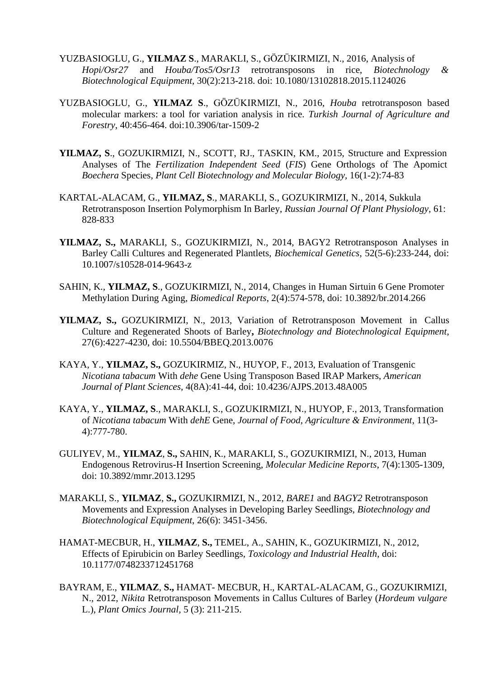- YUZBASIOGLU, G., **YILMAZ S**., MARAKLI, S., GÖZÜKIRMIZI, N., 2016, Analysis of *Hopi/Osr27* and *Houba/Tos5/Osr13* retrotransposons in rice, *Biotechnology & Biotechnological Equipment*, 30(2):213-218. doi: 10.1080/13102818.2015.1124026
- YUZBASIOGLU, G., **YILMAZ S**., GÖZÜKIRMIZI, N., 2016, *Houba* retrotransposon based molecular markers: a tool for variation analysis in rice. *Turkish Journal of Agriculture and Forestry*, 40:456-464. doi:10.3906/tar-1509-2
- **YILMAZ, S**., GOZUKIRMIZI, N., SCOTT, RJ., TASKIN, KM., 2015, Structure and Expression Analyses of The *Fertilization Independent Seed* (*FIS*) Gene Orthologs of The Apomict *Boechera* Species, *Plant Cell Biotechnology and Molecular Biology,* 16(1-2):74-83
- KARTAL-ALACAM, G., **YILMAZ, S**., MARAKLI, S., GOZUKIRMIZI, N., 2014, Sukkula Retrotransposon Insertion Polymorphism In Barley, *Russian Journal Of Plant Physiology*, 61: 828-833
- **YILMAZ, S.,** MARAKLI, S., GOZUKIRMIZI, N., 2014, BAGY2 Retrotransposon Analyses in Barley Calli Cultures and Regenerated Plantlets, *Biochemical Genetics*, 52(5-6):233-244, doi: 10.1007/s10528-014-9643-z
- SAHIN, K., **YILMAZ, S**., GOZUKIRMIZI, N., 2014, Changes in Human Sirtuin 6 Gene Promoter Methylation During Aging, *Biomedical Reports*, 2(4):574-578, doi: 10.3892/br.2014.266
- **YILMAZ, S.,** GOZUKIRMIZI, N., 2013, Variation of Retrotransposon Movement in Callus Culture and Regenerated Shoots of Barley**,** *Biotechnology and Biotechnological Equipment*, 27(6):4227-4230, doi: 10.5504/BBEQ.2013.0076
- KAYA, Y., **YILMAZ, S.,** GOZUKIRMIZ, N., HUYOP, F., 2013, Evaluation of Transgenic *Nicotiana tabacum* With *dehe* Gene Using Transposon Based IRAP Markers, *American Journal of Plant Sciences,* 4(8A):41-44, doi: 10.4236/AJPS.2013.48A005
- KAYA, Y., **YILMAZ, S**., MARAKLI, S., GOZUKIRMIZI, N., HUYOP, F., 2013, Transformation of *Nicotiana tabacum* With *dehE* Gene, *Journal of Food, Agriculture & Environment*, 11(3- 4):777-780.
- GULIYEV, M., **YILMAZ**, **S.,** SAHIN, K., MARAKLI, S., GOZUKIRMIZI, N., 2013, Human Endogenous Retrovirus-H Insertion Screening, *Molecular Medicine Reports*, 7(4):1305-1309, doi: 10.3892/mmr.2013.1295
- MARAKLI, S., **YILMAZ**, **S.,** GOZUKIRMIZI, N., 2012, *BARE1* and *BAGY2* Retrotransposon Movements and Expression Analyses in Developing Barley Seedlings, *Biotechnology and Biotechnological Equipment,* 26(6): 3451-3456.
- HAMAT-MECBUR, H., **YILMAZ**, **S.,** TEMEL, A., SAHIN, K., GOZUKIRMIZI, N., 2012, Effects of Epirubicin on Barley Seedlings, *Toxicology and Industrial Health*, doi: 10.1177/0748233712451768
- BAYRAM, E., **YILMAZ**, **S.,** HAMAT- MECBUR, H., KARTAL-ALACAM, G., GOZUKIRMIZI, N., 2012, *Nikita* Retrotransposon Movements in Callus Cultures of Barley (*Hordeum vulgare* L.), *Plant Omics Journal,* 5 (3): 211-215.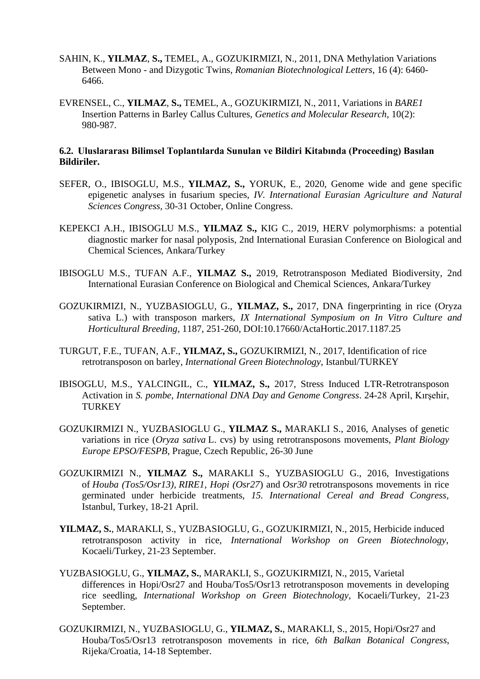- SAHIN, K., **YILMAZ**, **S.,** TEMEL, A., GOZUKIRMIZI, N., 2011, DNA Methylation Variations Between Mono - and Dizygotic Twins, *Romanian Biotechnological Letters*, 16 (4): 6460- 6466.
- EVRENSEL, C., **YILMAZ**, **S.,** TEMEL, A., GOZUKIRMIZI, N., 2011, Variations in *BARE1* Insertion Patterns in Barley Callus Cultures, *Genetics and Molecular Research*, 10(2): 980-987.

#### **6.2. Uluslararası Bilimsel Toplantılarda Sunulan ve Bildiri Kitabında (Proceeding) Basılan Bildiriler.**

- SEFER, O., IBISOGLU, M.S., **YILMAZ, S.,** YORUK, E., 2020, Genome wide and gene specific epigenetic analyses in fusarium species, *IV. International Eurasian Agriculture and Natural Sciences Congress,* 30-31 October, Online Congress.
- KEPEKCI A.H., IBISOGLU M.S., **YILMAZ S.,** KIG C., 2019, HERV polymorphisms: a potential diagnostic marker for nasal polyposis, 2nd International Eurasian Conference on Biological and Chemical Sciences, Ankara/Turkey
- IBISOGLU M.S., TUFAN A.F., **YILMAZ S.,** 2019, Retrotransposon Mediated Biodiversity, 2nd International Eurasian Conference on Biological and Chemical Sciences, Ankara/Turkey
- GOZUKIRMIZI, N., YUZBASIOGLU, G., **YILMAZ, S.,** 2017, DNA fingerprinting in rice (Oryza sativa L.) with transposon markers, *[IX International Symposium on In Vitro Culture and](https://www.actahort.org/books/1187/index.htm)  [Horticultural Breeding,](https://www.actahort.org/books/1187/index.htm)* 1187, 251-260, DOI:10.17660/ActaHortic.2017.1187.25
- TURGUT, F.E., TUFAN, A.F., **YILMAZ, S.,** GOZUKIRMIZI, N., 2017, Identification of rice retrotransposon on barley, *International Green Biotechnology*, Istanbul/TURKEY
- IBISOGLU, M.S., YALCINGIL, C., **YILMAZ, S.,** 2017, Stress Induced LTR-Retrotransposon Activation in *S. pombe, International DNA Day and Genome Congress*. 24-28 April, Kırşehir, **TURKEY**
- GOZUKIRMIZI N., YUZBASIOGLU G., **YILMAZ S.,** MARAKLI S., 2016, Analyses of genetic variations in rice (*Oryza sativa* L. cvs) by using retrotransposons movements, *Plant Biology Europe EPSO/FESPB*, Prague, Czech Republic, 26-30 June
- GOZUKIRMIZI N., **YILMAZ S.,** MARAKLI S., YUZBASIOGLU G., 2016, Investigations of *Houba (Tos5/Osr13), RIRE1, Hopi (Osr27*) and *Osr30* retrotransposons movements in rice germinated under herbicide treatments, *15. International Cereal and Bread Congress,* Istanbul, Turkey, 18-21 April.
- **YILMAZ, S.**, MARAKLI, S., YUZBASIOGLU, G., GOZUKIRMIZI, N., 2015, Herbicide induced retrotransposon activity in rice, *International Workshop on Green Biotechnology*, Kocaeli/Turkey, 21-23 September.
- YUZBASIOGLU, G., **YILMAZ, S.**, MARAKLI, S., GOZUKIRMIZI, N., 2015, Varietal differences in Hopi/Osr27 and Houba/Tos5/Osr13 retrotransposon movements in developing rice seedling, *International Workshop on Green Biotechnology,* Kocaeli/Turkey, 21-23 September.
- GOZUKIRMIZI, N., YUZBASIOGLU, G., **YILMAZ, S.**, MARAKLI, S., 2015, Hopi/Osr27 and Houba/Tos5/Osr13 retrotransposon movements in rice, *6th Balkan Botanical Congress*, Rijeka/Croatia, 14-18 September.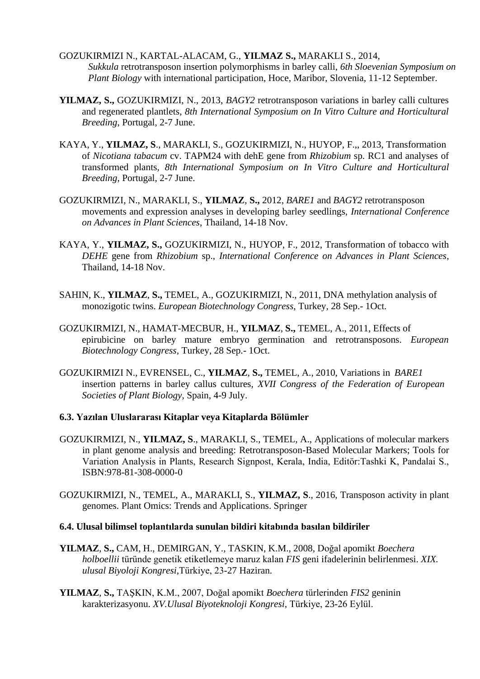- GOZUKIRMIZI N., KARTAL-ALACAM, G., **YILMAZ S.,** MARAKLI S., 2014, *Sukkula* retrotransposon insertion polymorphisms in barley calli, *6th Sloevenian Symposium on Plant Biology* with international participation, Hoce, Maribor, Slovenia, 11-12 September.
- **YILMAZ, S.,** GOZUKIRMIZI, N., 2013, *BAGY2* retrotransposon variations in barley calli cultures and regenerated plantlets, *8th International Symposium on In Vitro Culture and Horticultural Breeding*, Portugal, 2-7 June.
- KAYA, Y., **YILMAZ, S**., MARAKLI, S., GOZUKIRMIZI, N., HUYOP, F.,, 2013, Transformation of *Nicotiana tabacum* cv. TAPM24 with dehE gene from *Rhizobium* sp. RC1 and analyses of transformed plants, *8th International Symposium on In Vitro Culture and Horticultural Breeding*, Portugal, 2-7 June.
- GOZUKIRMIZI, N., MARAKLI, S., **YILMAZ**, **S.,** 2012, *BARE1* and *BAGY2* retrotransposon movements and expression analyses in developing barley seedlings, *International Conference on Advances in Plant Sciences*, Thailand, 14-18 Nov.
- KAYA, Y., **YILMAZ, S.,** GOZUKIRMIZI, N., HUYOP, F., 2012, Transformation of tobacco with *DEHE* gene from *Rhizobium* sp., *International Conference on Advances in Plant Sciences*, Thailand, 14-18 Nov.
- SAHIN, K., **YILMAZ**, **S.,** TEMEL, A., GOZUKIRMIZI, N., 2011, DNA methylation analysis of monozigotic twins. *European Biotechnology Congress,* Turkey, 28 Sep.- 1Oct.
- GOZUKIRMIZI, N., HAMAT-MECBUR, H., **YILMAZ**, **S.,** TEMEL, A., 2011, Effects of epirubicine on barley mature embryo germination and retrotransposons. *European Biotechnology Congress,* Turkey, 28 Sep.- 1Oct.
- GOZUKIRMIZI N., EVRENSEL, C., **YILMAZ**, **S.,** TEMEL, A., 2010, Variations in *BARE1* insertion patterns in barley callus cultures, *XVII Congress of the Federation of European Societies of Plant Biology*, Spain, 4-9 July.
- **6.3. Yazılan Uluslararası Kitaplar veya Kitaplarda Bölümler**
- GOZUKIRMIZI, N., **YILMAZ, S**., MARAKLI, S., TEMEL, A., Applications of molecular markers in plant genome analysis and breeding: Retrotransposon-Based Molecular Markers; Tools for Variation Analysis in Plants, Research Signpost, Kerala, India, Editör:Tashki K, Pandalai S., ISBN:978-81-308-0000-0
- GOZUKIRMIZI, N., TEMEL, A., MARAKLI, S., **YILMAZ, S**., 2016, Transposon activity in plant genomes. Plant Omics: Trends and Applications. Springer
- **6.4. Ulusal bilimsel toplantılarda sunulan bildiri kitabında basılan bildiriler**
- **YILMAZ**, **S.,** CAM, H., DEMIRGAN, Y., TASKIN, K.M., 2008, Doğal apomikt *Boechera holboellii* türünde genetik etiketlemeye maruz kalan *FIS* geni ifadelerinin belirlenmesi. *XIX. ulusal Biyoloji Kongresi,*Türkiye, 23-27 Haziran.
- **YILMAZ**, **S.,** TAŞKIN, K.M., 2007, Doğal apomikt *Boechera* türlerinden *FIS2* geninin karakterizasyonu. *XV.Ulusal Biyoteknoloji Kongresi,* Türkiye, 23-26 Eylül.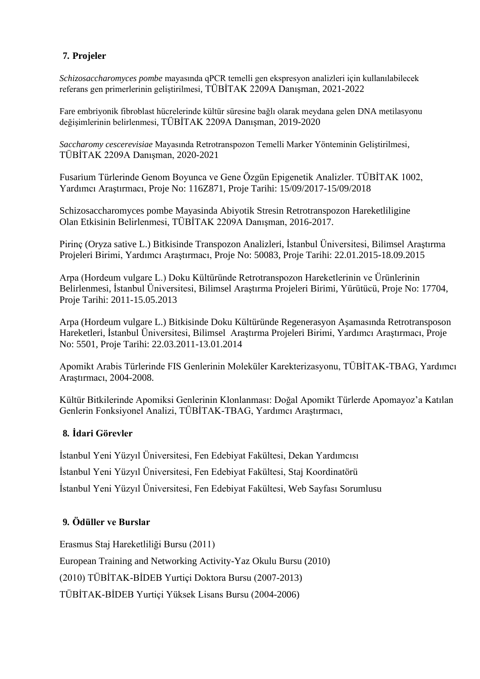## **7. Projeler**

*Schizosaccharomyces pombe* mayasında qPCR temelli gen ekspresyon analizleri için kullanılabilecek referans gen primerlerinin geliştirilmesi, TÜBİTAK 2209A Danışman, 2021-2022

Fare embriyonik fibroblast hücrelerinde kültür süresine bağlı olarak meydana gelen DNA metilasyonu değişimlerinin belirlenmesi, TÜBİTAK 2209A Danışman, 2019-2020

*Saccharomy cescerevisiae* Mayasında Retrotranspozon Temelli Marker Yönteminin Geliştirilmesi, TÜBİTAK 2209A Danışman, 2020-2021

Fusarium Türlerinde Genom Boyunca ve Gene Özgün Epigenetik Analizler. TÜBİTAK 1002, Yardımcı Araştırmacı, Proje No: 116Z871, Proje Tarihi: 15/09/2017-15/09/2018

Schizosaccharomyces pombe Mayasinda Abiyotik Stresin Retrotranspozon Hareketliligine Olan Etkisinin Belirlenmesi, TÜBİTAK 2209A Danışman, 2016-2017.

Pirinç (Oryza sative L.) Bitkisinde Transpozon Analizleri, İstanbul Üniversitesi, Bilimsel Araştırma Projeleri Birimi, Yardımcı Araştırmacı, Proje No: 50083, Proje Tarihi: 22.01.2015-18.09.2015

Arpa (Hordeum vulgare L.) Doku Kültüründe Retrotranspozon Hareketlerinin ve Ürünlerinin Belirlenmesi, İstanbul Üniversitesi, Bilimsel Araştırma Projeleri Birimi, Yürütücü, Proje No: 17704, Proje Tarihi: 2011-15.05.2013

Arpa (Hordeum vulgare L.) Bitkisinde Doku Kültüründe Regenerasyon Aşamasında Retrotransposon Hareketleri, İstanbul Üniversitesi, Bilimsel Araştırma Projeleri Birimi, Yardımcı Araştırmacı, Proje No: 5501, Proje Tarihi: 22.03.2011-13.01.2014

Apomikt Arabis Türlerinde FIS Genlerinin Moleküler Karekterizasyonu, TÜBİTAK-TBAG, Yardımcı Araştırmacı, 2004-2008.

Kültür Bitkilerinde Apomiksi Genlerinin Klonlanması: Doğal Apomikt Türlerde Apomayoz'a Katılan Genlerin Fonksiyonel Analizi, TÜBİTAK-TBAG, Yardımcı Araştırmacı,

## **8. İdari Görevler**

İstanbul Yeni Yüzyıl Üniversitesi, Fen Edebiyat Fakültesi, Dekan Yardımcısı İstanbul Yeni Yüzyıl Üniversitesi, Fen Edebiyat Fakültesi, Staj Koordinatörü İstanbul Yeni Yüzyıl Üniversitesi, Fen Edebiyat Fakültesi, Web Sayfası Sorumlusu

## **9. Ödüller ve Burslar**

Erasmus Staj Hareketliliği Bursu (2011) European Training and Networking Activity-Yaz Okulu Bursu (2010) (2010) TÜBİTAK-BİDEB Yurtiçi Doktora Bursu (2007-2013) TÜBİTAK-BİDEB Yurtiçi Yüksek Lisans Bursu (2004-2006)